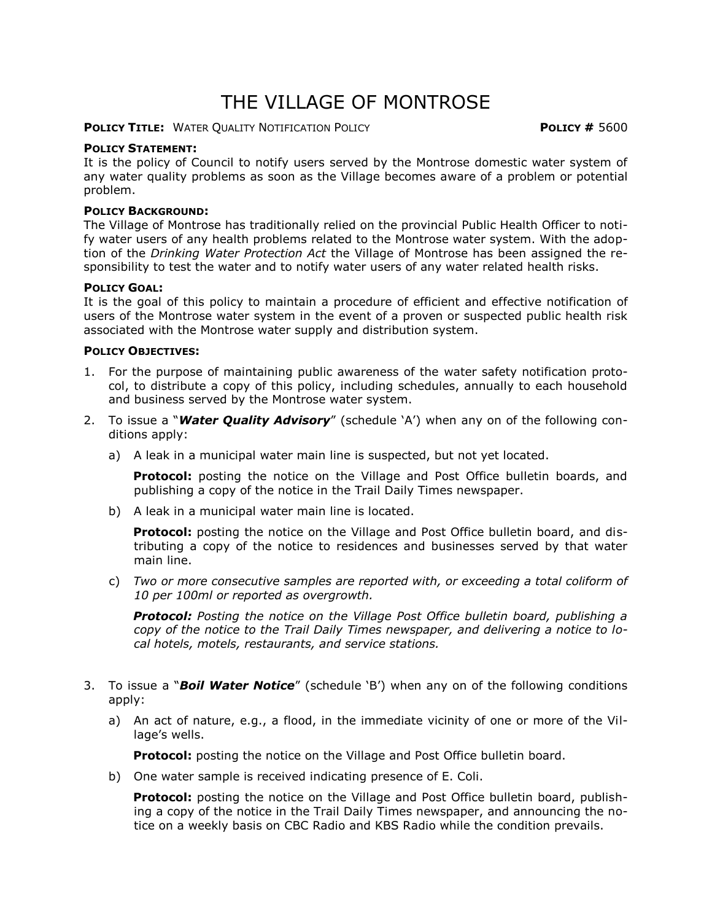### THE VILLAGE OF MONTROSE

### **POLICY TITLE:** WATER QUALITY NOTIFICATION POLICY **POLICY #** 5600

#### **POLICY STATEMENT:**

It is the policy of Council to notify users served by the Montrose domestic water system of any water quality problems as soon as the Village becomes aware of a problem or potential problem.

### **POLICY BACKGROUND:**

The Village of Montrose has traditionally relied on the provincial Public Health Officer to notify water users of any health problems related to the Montrose water system. With the adoption of the *Drinking Water Protection Act* the Village of Montrose has been assigned the responsibility to test the water and to notify water users of any water related health risks.

#### **POLICY GOAL:**

It is the goal of this policy to maintain a procedure of efficient and effective notification of users of the Montrose water system in the event of a proven or suspected public health risk associated with the Montrose water supply and distribution system.

#### **POLICY OBJECTIVES:**

- 1. For the purpose of maintaining public awareness of the water safety notification protocol, to distribute a copy of this policy, including schedules, annually to each household and business served by the Montrose water system.
- 2. To issue a "*Water Quality Advisory*" (schedule 'A') when any on of the following conditions apply:
	- a) A leak in a municipal water main line is suspected, but not yet located.

**Protocol:** posting the notice on the Village and Post Office bulletin boards, and publishing a copy of the notice in the Trail Daily Times newspaper.

b) A leak in a municipal water main line is located.

**Protocol:** posting the notice on the Village and Post Office bulletin board, and distributing a copy of the notice to residences and businesses served by that water main line.

c) *Two or more consecutive samples are reported with, or exceeding a total coliform of 10 per 100ml or reported as overgrowth.*

*Protocol: Posting the notice on the Village Post Office bulletin board, publishing a copy of the notice to the Trail Daily Times newspaper, and delivering a notice to local hotels, motels, restaurants, and service stations.* 

- 3. To issue a "*Boil Water Notice*" (schedule 'B') when any on of the following conditions apply:
	- a) An act of nature, e.g., a flood, in the immediate vicinity of one or more of the Village's wells.

**Protocol:** posting the notice on the Village and Post Office bulletin board.

b) One water sample is received indicating presence of E. Coli.

**Protocol:** posting the notice on the Village and Post Office bulletin board, publishing a copy of the notice in the Trail Daily Times newspaper, and announcing the notice on a weekly basis on CBC Radio and KBS Radio while the condition prevails.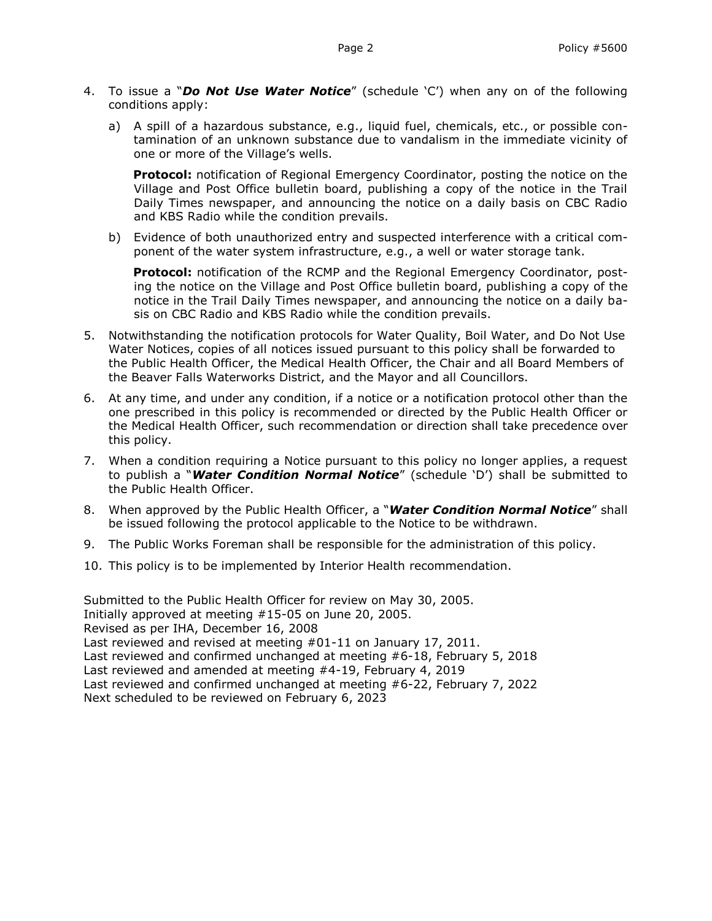- 4. To issue a "*Do Not Use Water Notice*" (schedule 'C') when any on of the following conditions apply:
	- a) A spill of a hazardous substance, e.g., liquid fuel, chemicals, etc., or possible contamination of an unknown substance due to vandalism in the immediate vicinity of one or more of the Village's wells.

**Protocol:** notification of Regional Emergency Coordinator, posting the notice on the Village and Post Office bulletin board, publishing a copy of the notice in the Trail Daily Times newspaper, and announcing the notice on a daily basis on CBC Radio and KBS Radio while the condition prevails.

b) Evidence of both unauthorized entry and suspected interference with a critical component of the water system infrastructure, e.g., a well or water storage tank.

**Protocol:** notification of the RCMP and the Regional Emergency Coordinator, posting the notice on the Village and Post Office bulletin board, publishing a copy of the notice in the Trail Daily Times newspaper, and announcing the notice on a daily basis on CBC Radio and KBS Radio while the condition prevails.

- 5. Notwithstanding the notification protocols for Water Quality, Boil Water, and Do Not Use Water Notices, copies of all notices issued pursuant to this policy shall be forwarded to the Public Health Officer, the Medical Health Officer, the Chair and all Board Members of the Beaver Falls Waterworks District, and the Mayor and all Councillors.
- 6. At any time, and under any condition, if a notice or a notification protocol other than the one prescribed in this policy is recommended or directed by the Public Health Officer or the Medical Health Officer, such recommendation or direction shall take precedence over this policy.
- 7. When a condition requiring a Notice pursuant to this policy no longer applies, a request to publish a "*Water Condition Normal Notice*" (schedule 'D') shall be submitted to the Public Health Officer.
- 8. When approved by the Public Health Officer, a "*Water Condition Normal Notice*" shall be issued following the protocol applicable to the Notice to be withdrawn.
- 9. The Public Works Foreman shall be responsible for the administration of this policy.
- 10. This policy is to be implemented by Interior Health recommendation.

Submitted to the Public Health Officer for review on May 30, 2005. Initially approved at meeting #15-05 on June 20, 2005. Revised as per IHA, December 16, 2008 Last reviewed and revised at meeting #01-11 on January 17, 2011. Last reviewed and confirmed unchanged at meeting #6-18, February 5, 2018 Last reviewed and amended at meeting #4-19, February 4, 2019 Last reviewed and confirmed unchanged at meeting #6-22, February 7, 2022 Next scheduled to be reviewed on February 6, 2023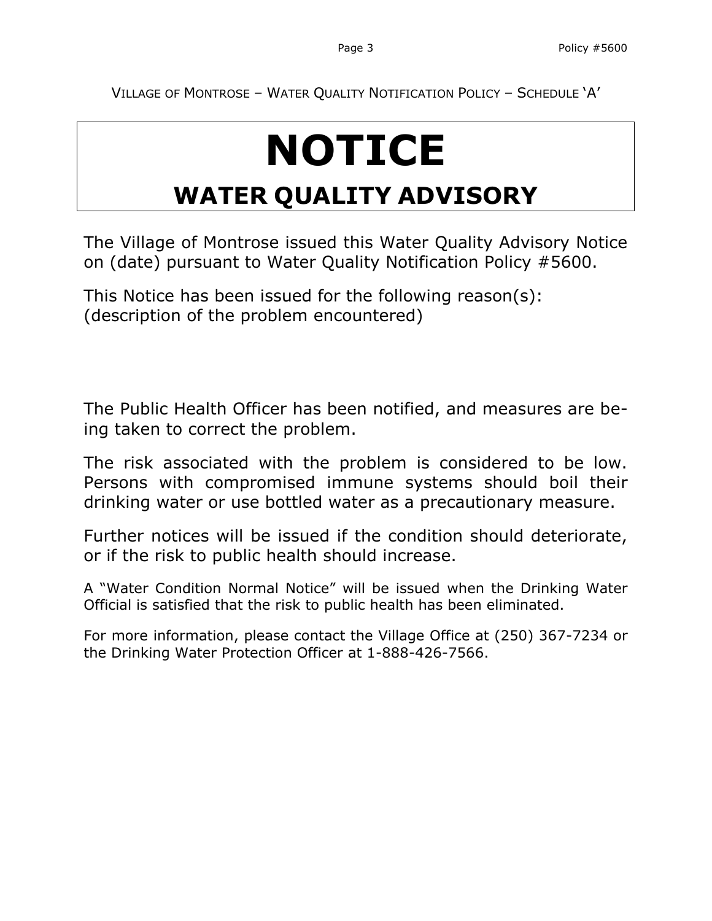VILLAGE OF MONTROSE – WATER QUALITY NOTIFICATION POLICY – SCHEDULE 'A'

# **NOTICE**

## **WATER QUALITY ADVISORY**

The Village of Montrose issued this Water Quality Advisory Notice on (date) pursuant to Water Quality Notification Policy #5600.

This Notice has been issued for the following reason(s): (description of the problem encountered)

The Public Health Officer has been notified, and measures are being taken to correct the problem.

The risk associated with the problem is considered to be low. Persons with compromised immune systems should boil their drinking water or use bottled water as a precautionary measure.

Further notices will be issued if the condition should deteriorate, or if the risk to public health should increase.

A "Water Condition Normal Notice" will be issued when the Drinking Water Official is satisfied that the risk to public health has been eliminated.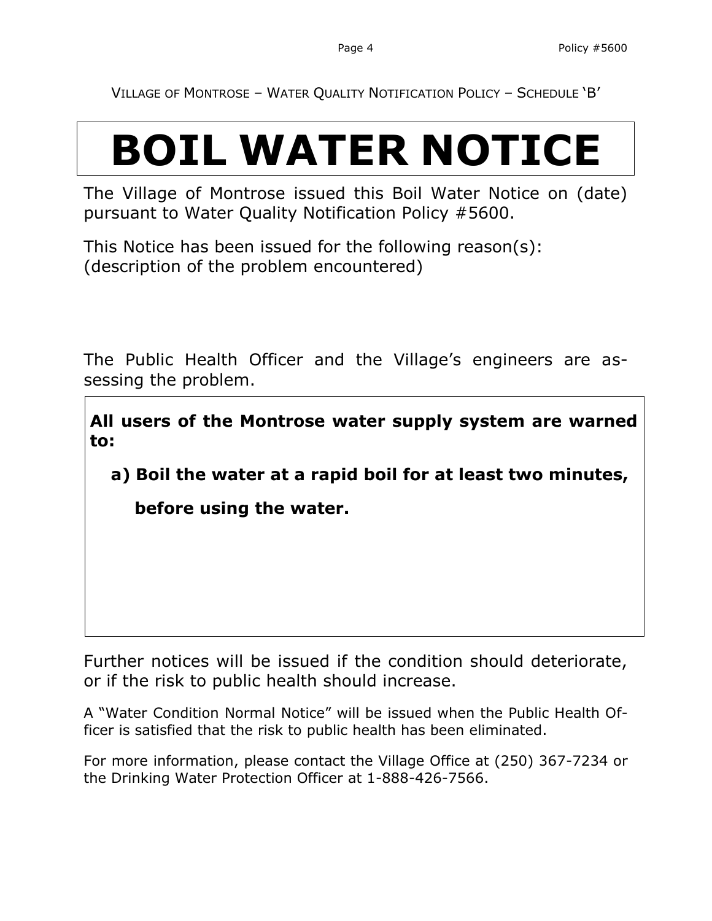VILLAGE OF MONTROSE – WATER QUALITY NOTIFICATION POLICY – SCHEDULE 'B'

## **BOIL WATER NOTICE**

The Village of Montrose issued this Boil Water Notice on (date) pursuant to Water Quality Notification Policy #5600.

This Notice has been issued for the following reason(s): (description of the problem encountered)

The Public Health Officer and the Village's engineers are assessing the problem.

**All users of the Montrose water supply system are warned to:**

**a) Boil the water at a rapid boil for at least two minutes,** 

 **before using the water.**

Further notices will be issued if the condition should deteriorate, or if the risk to public health should increase.

A "Water Condition Normal Notice" will be issued when the Public Health Officer is satisfied that the risk to public health has been eliminated.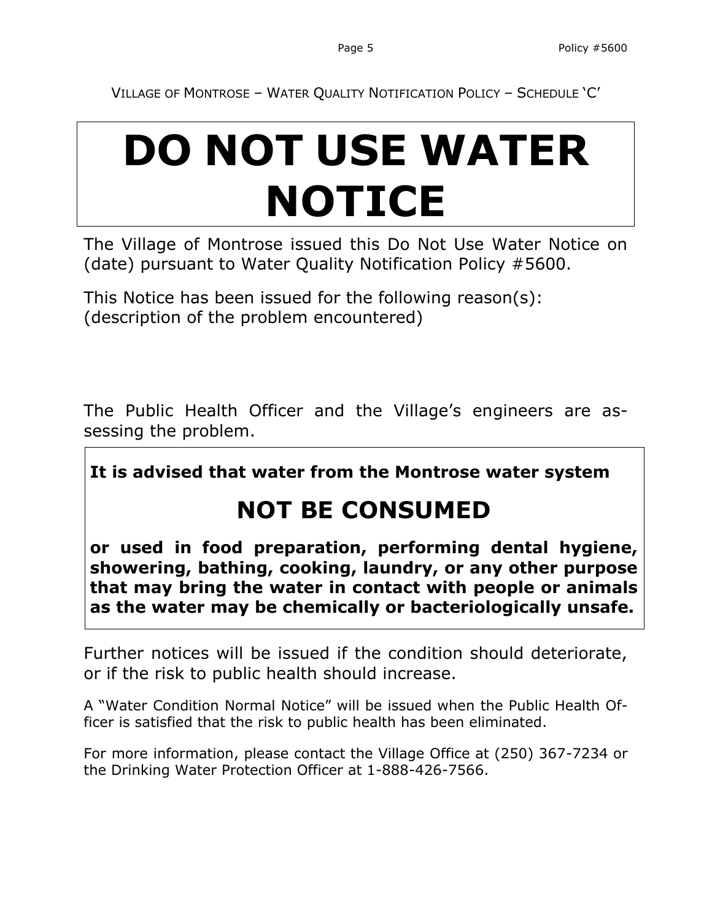VILLAGE OF MONTROSE – WATER QUALITY NOTIFICATION POLICY – SCHEDULE 'C'

## **DO NOT USE WATER NOTICE**

The Village of Montrose issued this Do Not Use Water Notice on (date) pursuant to Water Quality Notification Policy #5600.

This Notice has been issued for the following reason(s): (description of the problem encountered)

The Public Health Officer and the Village's engineers are assessing the problem.

**It is advised that water from the Montrose water system**

## **NOT BE CONSUMED**

**or used in food preparation, performing dental hygiene, showering, bathing, cooking, laundry, or any other purpose that may bring the water in contact with people or animals as the water may be chemically or bacteriologically unsafe.**

Further notices will be issued if the condition should deteriorate, or if the risk to public health should increase.

A "Water Condition Normal Notice" will be issued when the Public Health Officer is satisfied that the risk to public health has been eliminated.